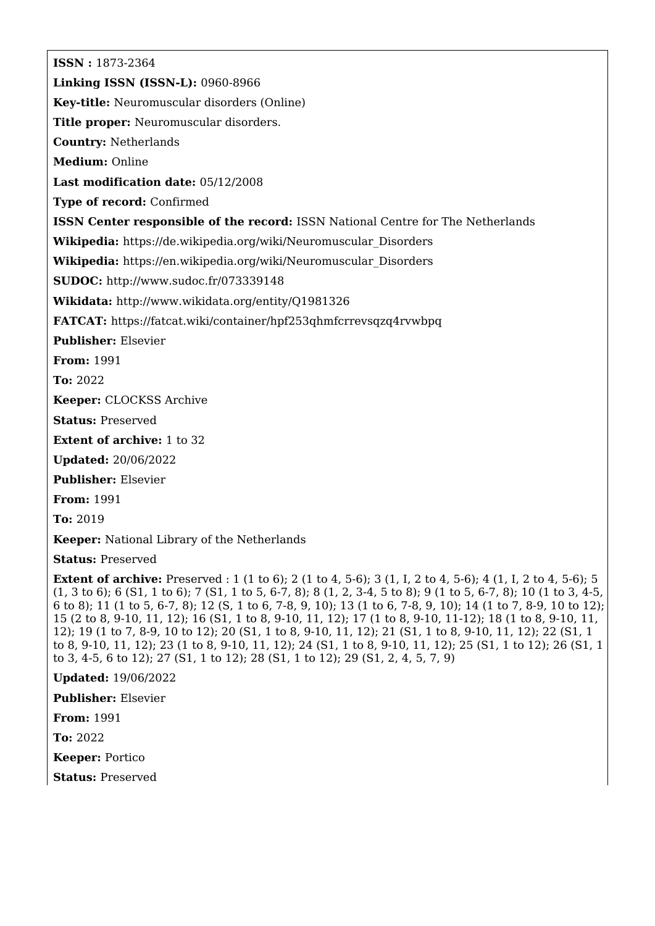**ISSN :** 1873-2364 **Linking ISSN (ISSN-L):** 0960-8966 **Key-title:** Neuromuscular disorders (Online) **Title proper:** Neuromuscular disorders. **Country:** Netherlands **Medium:** Online **Last modification date:** 05/12/2008 **Type of record:** Confirmed **ISSN Center responsible of the record:** ISSN National Centre for The Netherlands **Wikipedia:** [https://de.wikipedia.org/wiki/Neuromuscular\\_Disorders](https://de.wikipedia.org/wiki/Neuromuscular_Disorders) **Wikipedia:** [https://en.wikipedia.org/wiki/Neuromuscular\\_Disorders](https://en.wikipedia.org/wiki/Neuromuscular_Disorders) **SUDOC:** <http://www.sudoc.fr/073339148> **Wikidata:** <http://www.wikidata.org/entity/Q1981326> **FATCAT:** <https://fatcat.wiki/container/hpf253qhmfcrrevsqzq4rvwbpq> **Publisher:** Elsevier **From:** 1991 **To:** 2022 **Keeper:** CLOCKSS Archive **Status:** Preserved **Extent of archive:** 1 to 32 **Updated:** 20/06/2022 **Publisher:** Elsevier **From:** 1991 **To:** 2019 **Keeper:** National Library of the Netherlands **Status:** Preserved **Extent of archive:** Preserved : 1 (1 to 6); 2 (1 to 4, 5-6); 3 (1, I, 2 to 4, 5-6); 4 (1, I, 2 to 4, 5-6); 5

(1, 3 to 6); 6 (S1, 1 to 6); 7 (S1, 1 to 5, 6-7, 8); 8 (1, 2, 3-4, 5 to 8); 9 (1 to 5, 6-7, 8); 10 (1 to 3, 4-5, 6 to 8); 11 (1 to 5, 6-7, 8); 12 (S, 1 to 6, 7-8, 9, 10); 13 (1 to 6, 7-8, 9, 10); 14 (1 to 7, 8-9, 10 to 12); 15 (2 to 8, 9-10, 11, 12); 16 (S1, 1 to 8, 9-10, 11, 12); 17 (1 to 8, 9-10, 11-12); 18 (1 to 8, 9-10, 11, 12); 19 (1 to 7, 8-9, 10 to 12); 20 (S1, 1 to 8, 9-10, 11, 12); 21 (S1, 1 to 8, 9-10, 11, 12); 22 (S1, 1 to 8, 9-10, 11, 12); 23 (1 to 8, 9-10, 11, 12); 24 (S1, 1 to 8, 9-10, 11, 12); 25 (S1, 1 to 12); 26 (S1, 1 to 3, 4-5, 6 to 12); 27 (S1, 1 to 12); 28 (S1, 1 to 12); 29 (S1, 2, 4, 5, 7, 9)

**Updated:** 19/06/2022

**Publisher:** Elsevier

**From:** 1991

**To:** 2022

**Keeper:** Portico

**Status:** Preserved